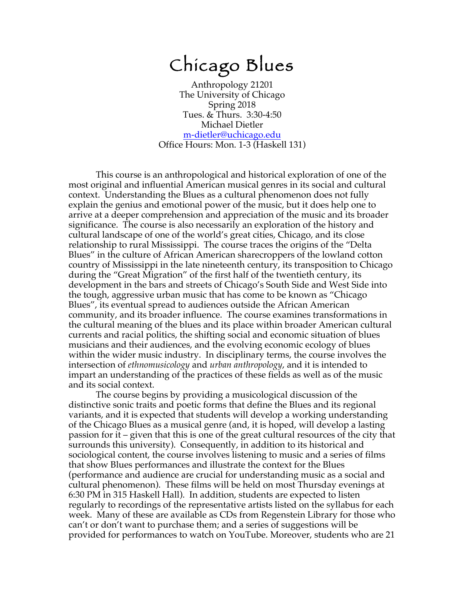# Chicago Blues

Anthropology 21201 The University of Chicago Spring 2018 Tues. & Thurs. 3:30-4:50 Michael Dietler m-dietler@uchicago.edu Office Hours: Mon. 1-3 (Haskell 131)

This course is an anthropological and historical exploration of one of the most original and influential American musical genres in its social and cultural context. Understanding the Blues as a cultural phenomenon does not fully explain the genius and emotional power of the music, but it does help one to arrive at a deeper comprehension and appreciation of the music and its broader significance. The course is also necessarily an exploration of the history and cultural landscape of one of the world's great cities, Chicago, and its close relationship to rural Mississippi. The course traces the origins of the "Delta Blues" in the culture of African American sharecroppers of the lowland cotton country of Mississippi in the late nineteenth century, its transposition to Chicago during the "Great Migration" of the first half of the twentieth century, its development in the bars and streets of Chicago's South Side and West Side into the tough, aggressive urban music that has come to be known as "Chicago Blues", its eventual spread to audiences outside the African American community, and its broader influence. The course examines transformations in the cultural meaning of the blues and its place within broader American cultural currents and racial politics, the shifting social and economic situation of blues musicians and their audiences, and the evolving economic ecology of blues within the wider music industry. In disciplinary terms, the course involves the intersection of *ethnomusicology* and *urban anthropology*, and it is intended to impart an understanding of the practices of these fields as well as of the music and its social context.

The course begins by providing a musicological discussion of the distinctive sonic traits and poetic forms that define the Blues and its regional variants, and it is expected that students will develop a working understanding of the Chicago Blues as a musical genre (and, it is hoped, will develop a lasting passion for it – given that this is one of the great cultural resources of the city that surrounds this university). Consequently, in addition to its historical and sociological content, the course involves listening to music and a series of films that show Blues performances and illustrate the context for the Blues (performance and audience are crucial for understanding music as a social and cultural phenomenon). These films will be held on most Thursday evenings at 6:30 PM in 315 Haskell Hall). In addition, students are expected to listen regularly to recordings of the representative artists listed on the syllabus for each week. Many of these are available as CDs from Regenstein Library for those who can't or don't want to purchase them; and a series of suggestions will be provided for performances to watch on YouTube. Moreover, students who are 21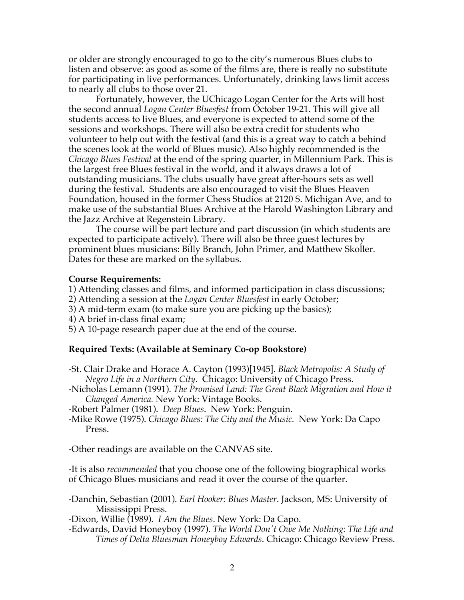or older are strongly encouraged to go to the city's numerous Blues clubs to listen and observe: as good as some of the films are, there is really no substitute for participating in live performances. Unfortunately, drinking laws limit access to nearly all clubs to those over 21.

Fortunately, however, the UChicago Logan Center for the Arts will host the second annual *Logan Center Bluesfest* from October 19-21. This will give all students access to live Blues, and everyone is expected to attend some of the sessions and workshops. There will also be extra credit for students who volunteer to help out with the festival (and this is a great way to catch a behind the scenes look at the world of Blues music). Also highly recommended is the *Chicago Blues Festival* at the end of the spring quarter, in Millennium Park. This is the largest free Blues festival in the world, and it always draws a lot of outstanding musicians. The clubs usually have great after-hours sets as well during the festival. Students are also encouraged to visit the Blues Heaven Foundation, housed in the former Chess Studios at 2120 S. Michigan Ave, and to make use of the substantial Blues Archive at the Harold Washington Library and the Jazz Archive at Regenstein Library.

The course will be part lecture and part discussion (in which students are expected to participate actively). There will also be three guest lectures by prominent blues musicians: Billy Branch, John Primer, and Matthew Skoller. Dates for these are marked on the syllabus.

#### **Course Requirements:**

1) Attending classes and films, and informed participation in class discussions;

- 2) Attending a session at the *Logan Center Bluesfest* in early October;
- 3) A mid-term exam (to make sure you are picking up the basics);
- 4) A brief in-class final exam;
- 5) A 10-page research paper due at the end of the course.

#### **Required Texts: (Available at Seminary Co-op Bookstore)**

- -St. Clair Drake and Horace A. Cayton (1993)[1945]. *Black Metropolis: A Study of Negro Life in a Northern City*. Chicago: University of Chicago Press.
- -Nicholas Lemann (1991). *The Promised Land: The Great Black Migration and How it Changed America.* New York: Vintage Books.
- -Robert Palmer (1981). *Deep Blues*. New York: Penguin.
- -Mike Rowe (1975). *Chicago Blues: The City and the Music.* New York: Da Capo Press.

-Other readings are available on the CANVAS site.

-It is also *recommended* that you choose one of the following biographical works of Chicago Blues musicians and read it over the course of the quarter.

-Danchin, Sebastian (2001). *Earl Hooker: Blues Master*. Jackson, MS: University of Mississippi Press.

-Dixon, Willie (1989). *I Am the Blues*. New York: Da Capo.

-Edwards, David Honeyboy (1997). *The World Don't Owe Me Nothing: The Life and Times of Delta Bluesman Honeyboy Edwards*. Chicago: Chicago Review Press.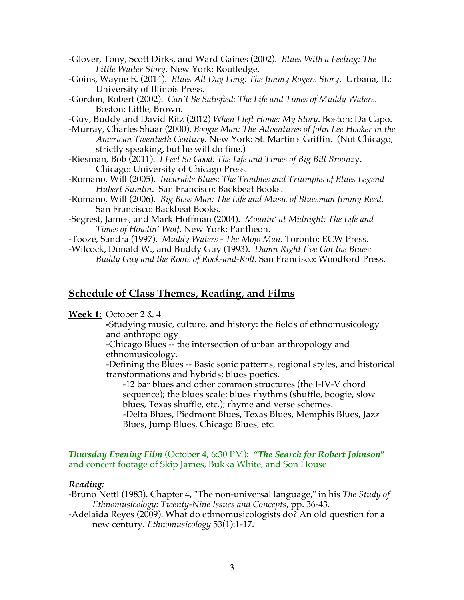- -Glover, Tony, Scott Dirks, and Ward Gaines (2002). *Blues With a Feeling: The Little Walter Story*. New York: Routledge.
- -Goins, Wayne E. (2014). *Blues All Day Long: The Jimmy Rogers Story*. Urbana, IL: University of Illinois Press.
- -Gordon, Robert (2002). *Can't Be Satisfied: The Life and Times of Muddy Waters*. Boston: Little, Brown.
- -Guy, Buddy and David Ritz (2012) *When I left Home: My Story*. Boston: Da Capo.
- -Murray, Charles Shaar (2000). *Boogie Man: The Adventures of John Lee Hooker in the American Twentieth Century*. New York: St. Martin's Griffin. (Not Chicago, strictly speaking, but he will do fine.)
- -Riesman, Bob (2011). *I Feel So Good: The Life and Times of Big Bill Broonz*y. Chicago: University of Chicago Press.
- -Romano, Will (2005). *Incurable Blues: The Troubles and Triumphs of Blues Legend Hubert Sumlin*. San Francisco: Backbeat Books.
- -Romano, Will (2006). *Big Boss Man: The Life and Music of Bluesman Jimmy Reed*. San Francisco: Backbeat Books.
- -Segrest, James, and Mark Hoffman (2004). *Moanin' at Midnight: The Life and Times of Howlin' Wolf*. New York: Pantheon.
- -Tooze, Sandra (1997). *Muddy Waters - The Mojo Man*. Toronto: ECW Press.
- -Wilcock, Donald W., and Buddy Guy (1993). *Damn Right I've Got the Blues: Buddy Guy and the Roots of Rock-and-Roll*. San Francisco: Woodford Press.

# **Schedule of Class Themes, Reading, and Films**

# **Week 1:** October 2 & 4

**-**Studying music, culture, and history: the fields of ethnomusicology and anthropology

-Chicago Blues -- the intersection of urban anthropology and ethnomusicology.

-Defining the Blues -- Basic sonic patterns, regional styles, and historical transformations and hybrids; blues poetics.

-12 bar blues and other common structures (the I-IV-V chord sequence); the blues scale; blues rhythms (shuffle, boogie, slow blues, Texas shuffle, etc.); rhyme and verse schemes. -Delta Blues, Piedmont Blues, Texas Blues, Memphis Blues, Jazz Blues, Jump Blues, Chicago Blues, etc.

### *Thursday Evening Film* (October 4, 6:30 PM): **"***The Search for Robert Johnson***"** and concert footage of Skip James, Bukka White, and Son House

#### *Reading:*

-Bruno Nettl (1983). Chapter 4, "The non-universal language," in his *The Study of Ethnomusicology: Twenty-Nine Issues and Concepts*, pp. 36-43.

-Adelaida Reyes (2009). What do ethnomusicologists do? An old question for a new century. *Ethnomusicology* 53(1):1-17.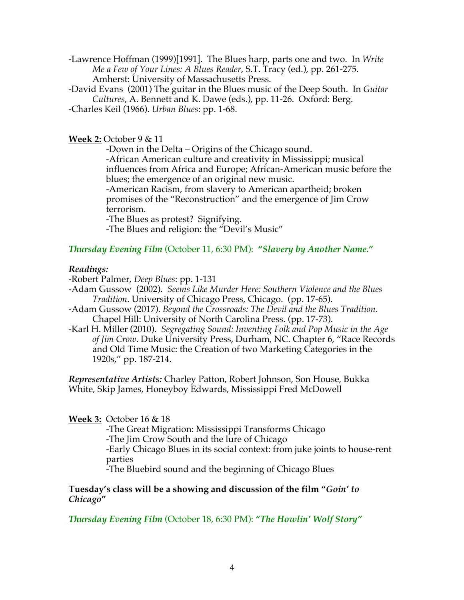-Lawrence Hoffman (1999)[1991]. The Blues harp, parts one and two. In *Write Me a Few of Your Lines: A Blues Reader*, S.T. Tracy (ed.), pp. 261-275. Amherst: University of Massachusetts Press.

-David Evans (2001) The guitar in the Blues music of the Deep South. In *Guitar Cultures*, A. Bennett and K. Dawe (eds.), pp. 11-26. Oxford: Berg. -Charles Keil (1966). *Urban Blues*: pp. 1-68.

**Week 2:** October 9 & 11

-Down in the Delta – Origins of the Chicago sound. -African American culture and creativity in Mississippi; musical influences from Africa and Europe; African-American music before the blues; the emergence of an original new music. -American Racism, from slavery to American apartheid; broken promises of the "Reconstruction" and the emergence of Jim Crow

terrorism.

-The Blues as protest? Signifying.

-The Blues and religion: the "Devil's Music"

# *Thursday Evening Film* (October 11, 6:30 PM): **"***Slavery by Another Name.***"**

# *Readings:*

-Robert Palmer, *Deep Blues*: pp. 1-131

- -Adam Gussow (2002). *Seems Like Murder Here: Southern Violence and the Blues Tradition*. University of Chicago Press, Chicago. (pp. 17-65).
- -Adam Gussow (2017). *Beyond the Crossroads: The Devil and the Blues Tradition*. Chapel Hill: University of North Carolina Press. (pp. 17-73).
- -Karl H. Miller (2010). *Segregating Sound: Inventing Folk and Pop Music in the Age of Jim Crow*. Duke University Press, Durham, NC. Chapter 6, "Race Records and Old Time Music: the Creation of two Marketing Categories in the 1920s," pp. 187-214.

*Representative Artists:* Charley Patton, Robert Johnson, Son House, Bukka White, Skip James, Honeyboy Edwards, Mississippi Fred McDowell

# **Week 3:** October 16 & 18

-The Great Migration: Mississippi Transforms Chicago -The Jim Crow South and the lure of Chicago -Early Chicago Blues in its social context: from juke joints to house-rent parties

-The Bluebird sound and the beginning of Chicago Blues

**Tuesday's class will be a showing and discussion of the film "***Goin' to Chicago***"** 

*Thursday Evening Film* (October 18, 6:30 PM): **"***The Howlin' Wolf Story"*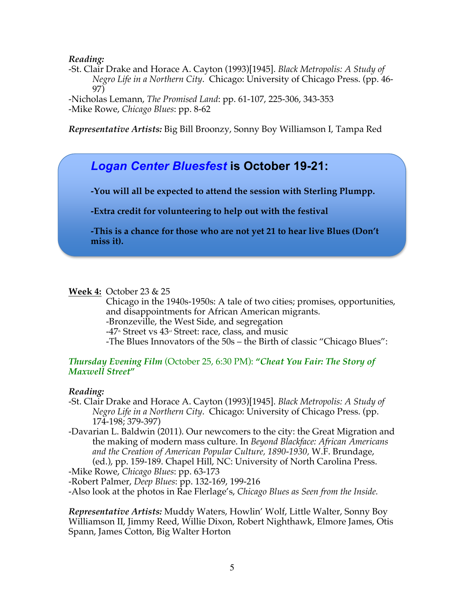### *Reading:*

-St. Clair Drake and Horace A. Cayton (1993)[1945]. *Black Metropolis: A Study of Negro Life in a Northern City*. Chicago: University of Chicago Press. (pp. 46- 97)

-Nicholas Lemann, *The Promised Land*: pp. 61-107, 225-306, 343-353 -Mike Rowe, *Chicago Blues*: pp. 8-62

*Representative Artists:* Big Bill Broonzy, Sonny Boy Williamson I, Tampa Red

# *Logan Center Bluesfest* **is October 19-21:**

**-You will all be expected to attend the session with Sterling Plumpp.**

**-Extra credit for volunteering to help out with the festival**

**-This is a chance for those who are not yet 21 to hear live Blues (Don't miss it).**

# **Week 4:** October 23 & 25

Chicago in the 1940s-1950s: A tale of two cities; promises, opportunities, and disappointments for African American migrants. -Bronzeville, the West Side, and segregation  $-47$ <sup>th</sup> Street vs  $43$ <sup>td</sup> Street: race, class, and music -The Blues Innovators of the 50s – the Birth of classic "Chicago Blues":

#### *Thursday Evening Film* (October 25, 6:30 PM): **"***Cheat You Fair: The Story of Maxwell Street***"**

#### *Reading:*

- -St. Clair Drake and Horace A. Cayton (1993)[1945]. *Black Metropolis: A Study of Negro Life in a Northern City*. Chicago: University of Chicago Press. (pp. 174-198; 379-397)
- -Davarian L. Baldwin (2011). Our newcomers to the city: the Great Migration and the making of modern mass culture. In *Beyond Blackface: African Americans and the Creation of American Popular Culture, 1890-1930,* W.F. Brundage, (ed.), pp. 159-189. Chapel Hill, NC: University of North Carolina Press. -Mike Rowe, *Chicago Blues*: pp. 63-173

-Robert Palmer, *Deep Blues*: pp. 132-169, 199-216

-Also look at the photos in Rae Flerlage's, *Chicago Blues as Seen from the Inside.*

*Representative Artists:* Muddy Waters, Howlin' Wolf, Little Walter, Sonny Boy Williamson II, Jimmy Reed, Willie Dixon, Robert Nighthawk, Elmore James, Otis Spann, James Cotton, Big Walter Horton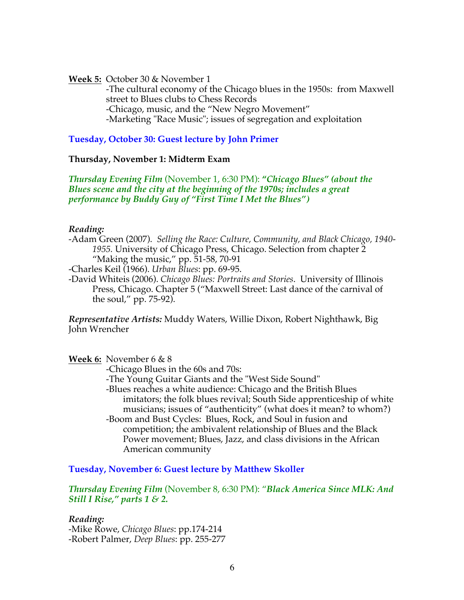**Week 5:** October 30 & November 1

-The cultural economy of the Chicago blues in the 1950s: from Maxwell street to Blues clubs to Chess Records -Chicago, music, and the "New Negro Movement" -Marketing "Race Music"; issues of segregation and exploitation

**Tuesday, October 30: Guest lecture by John Primer**

#### **Thursday, November 1: Midterm Exam**

*Thursday Evening Film* (November 1, 6:30 PM): **"***Chicago Blues" (about the Blues scene and the city at the beginning of the 1970s; includes a great performance by Buddy Guy of "First Time I Met the Blues")*

#### *Reading:*

-Adam Green (2007). *Selling the Race: Culture, Community, and Black Chicago, 1940- 1955.* University of Chicago Press, Chicago. Selection from chapter 2 "Making the music," pp. 51-58, 70-91

-Charles Keil (1966). *Urban Blues*: pp. 69-95.

-David Whiteis (2006). *Chicago Blues: Portraits and Stories*. University of Illinois Press, Chicago. Chapter 5 ("Maxwell Street: Last dance of the carnival of the soul," pp. 75-92).

*Representative Artists:* Muddy Waters, Willie Dixon, Robert Nighthawk, Big John Wrencher

**Week 6:** November 6 & 8

-Chicago Blues in the 60s and 70s:

-The Young Guitar Giants and the "West Side Sound"

-Blues reaches a white audience: Chicago and the British Blues imitators; the folk blues revival; South Side apprenticeship of white musicians; issues of "authenticity" (what does it mean? to whom?) -Boom and Bust Cycles: Blues, Rock, and Soul in fusion and competition; the ambivalent relationship of Blues and the Black Power movement; Blues, Jazz, and class divisions in the African

American community

**Tuesday, November 6: Guest lecture by Matthew Skoller**

*Thursday Evening Film* (November 8, 6:30 PM): "*Black America Since MLK: And Still I Rise," parts 1 & 2.*

*Reading:*  -Mike Rowe, *Chicago Blues*: pp.174-214 -Robert Palmer, *Deep Blues*: pp. 255-277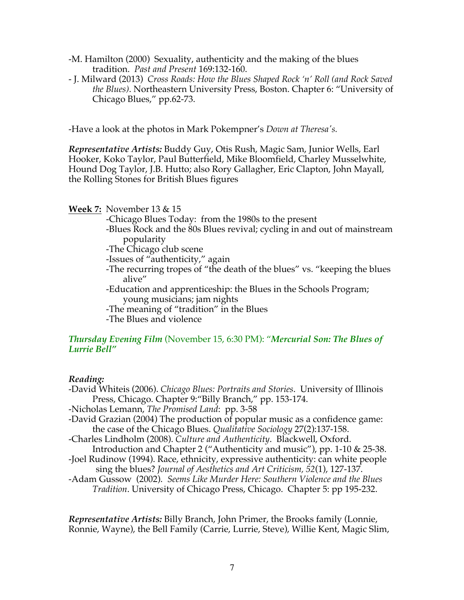- -M. Hamilton (2000) Sexuality, authenticity and the making of the blues tradition. *Past and Present* 169:132-160.
- J. Milward (2013) *Cross Roads: How the Blues Shaped Rock 'n' Roll (and Rock Saved the Blues)*. Northeastern University Press, Boston. Chapter 6: "University of Chicago Blues," pp.62-73.

-Have a look at the photos in Mark Pokempner's *Down at Theresa's.*

*Representative Artists:* Buddy Guy, Otis Rush, Magic Sam, Junior Wells, Earl Hooker, Koko Taylor, Paul Butterfield, Mike Bloomfield, Charley Musselwhite, Hound Dog Taylor, J.B. Hutto; also Rory Gallagher, Eric Clapton, John Mayall, the Rolling Stones for British Blues figures

#### **Week 7:** November 13 & 15

-Chicago Blues Today: from the 1980s to the present

-Blues Rock and the 80s Blues revival; cycling in and out of mainstream popularity

-The Chicago club scene

-Issues of "authenticity," again

- -The recurring tropes of "the death of the blues" vs. "keeping the blues alive"
- -Education and apprenticeship: the Blues in the Schools Program; young musicians; jam nights
- -The meaning of "tradition" in the Blues
- -The Blues and violence

# *Thursday Evening Film* (November 15, 6:30 PM): "*Mercurial Son: The Blues of Lurrie Bell"*

# *Reading:*

- -David Whiteis (2006). *Chicago Blues: Portraits and Stories*. University of Illinois Press, Chicago. Chapter 9:"Billy Branch," pp. 153-174. -Nicholas Lemann, *The Promised Land*: pp. 3-58 -David Grazian (2004) The production of popular music as a confidence game: the case of the Chicago Blues. *Qualitative Sociology* 27(2):137-158.
- -Charles Lindholm (2008). *Culture and Authenticity*. Blackwell, Oxford. Introduction and Chapter 2 ("Authenticity and music"), pp. 1-10 & 25-38.
- -Joel Rudinow (1994). Race, ethnicity, expressive authenticity: can white people sing the blues? *Journal of Aesthetics and Art Criticism, 52*(1), 127-137.
- -Adam Gussow (2002). *Seems Like Murder Here: Southern Violence and the Blues Tradition*. University of Chicago Press, Chicago. Chapter 5: pp 195-232.

*Representative Artists:* Billy Branch, John Primer, the Brooks family (Lonnie, Ronnie, Wayne), the Bell Family (Carrie, Lurrie, Steve), Willie Kent, Magic Slim,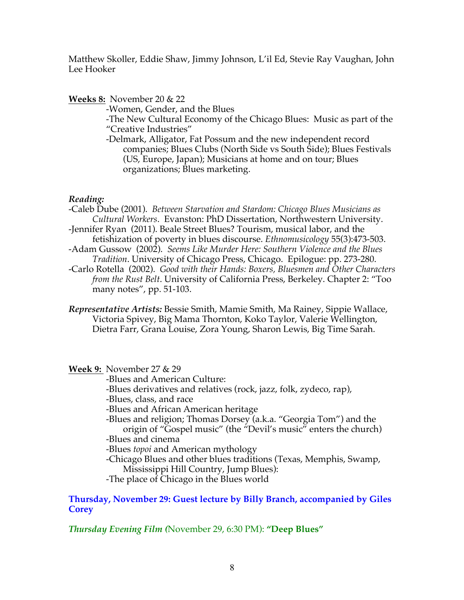Matthew Skoller, Eddie Shaw, Jimmy Johnson, L'il Ed, Stevie Ray Vaughan, John Lee Hooker

# **Weeks 8:** November 20 & 22

-Women, Gender, and the Blues

-The New Cultural Economy of the Chicago Blues: Music as part of the "Creative Industries"

-Delmark, Alligator, Fat Possum and the new independent record companies; Blues Clubs (North Side vs South Side); Blues Festivals (US, Europe, Japan); Musicians at home and on tour; Blues organizations; Blues marketing.

# *Reading:*

-Caleb Dube (2001). *Between Starvation and Stardom: Chicago Blues Musicians as Cultural Workers*. Evanston: PhD Dissertation, Northwestern University.

- -Jennifer Ryan (2011). Beale Street Blues? Tourism, musical labor, and the fetishization of poverty in blues discourse. *Ethnomusicology* 55(3):473-503.
- -Adam Gussow (2002). *Seems Like Murder Here: Southern Violence and the Blues Tradition*. University of Chicago Press, Chicago. Epilogue: pp. 273-280.
- -Carlo Rotella (2002). *Good with their Hands: Boxers, Bluesmen and Other Characters from the Rust Belt*. University of California Press, Berkeley. Chapter 2: "Too many notes", pp. 51-103.
- *Representative Artists:* Bessie Smith, Mamie Smith, Ma Rainey, Sippie Wallace, Victoria Spivey, Big Mama Thornton, Koko Taylor, Valerie Wellington, Dietra Farr, Grana Louise, Zora Young, Sharon Lewis, Big Time Sarah.

**Week 9:** November 27 & 29

-Blues and American Culture:

-Blues derivatives and relatives (rock, jazz, folk, zydeco, rap),

-Blues, class, and race

-Blues and African American heritage

-Blues and religion; Thomas Dorsey (a.k.a. "Georgia Tom") and the origin of "Gospel music" (the "Devil's music" enters the church) -Blues and cinema

-Blues *topoi* and American mythology

-Chicago Blues and other blues traditions (Texas, Memphis, Swamp, Mississippi Hill Country, Jump Blues):

-The place of Chicago in the Blues world

# **Thursday, November 29: Guest lecture by Billy Branch, accompanied by Giles Corey**

*Thursday Evening Film (*November 29, 6:30 PM): **"Deep Blues"**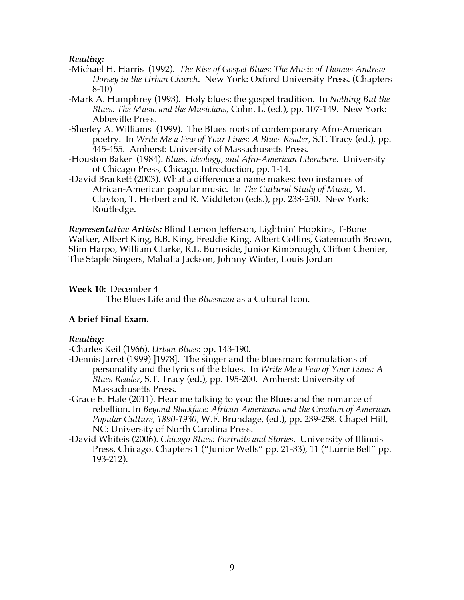#### *Reading:*

- -Michael H. Harris (1992). *The Rise of Gospel Blues: The Music of Thomas Andrew Dorsey in the Urban Church*. New York: Oxford University Press. (Chapters 8-10)
- -Mark A. Humphrey (1993). Holy blues: the gospel tradition. In *Nothing But the Blues: The Music and the Musicians,* Cohn. L. (ed.), pp. 107-149. New York: Abbeville Press.
- -Sherley A. Williams (1999). The Blues roots of contemporary Afro-American poetry. In *Write Me a Few of Your Lines: A Blues Reader*, S.T. Tracy (ed.), pp. 445-455. Amherst: University of Massachusetts Press.
- -Houston Baker (1984). *Blues, Ideology, and Afro-American Literature*. University of Chicago Press, Chicago. Introduction, pp. 1-14.
- -David Brackett (2003). What a difference a name makes: two instances of African-American popular music. In *The Cultural Study of Music*, M. Clayton, T. Herbert and R. Middleton (eds.), pp. 238-250. New York: Routledge.

*Representative Artists:* Blind Lemon Jefferson, Lightnin' Hopkins, T-Bone Walker, Albert King, B.B. King, Freddie King, Albert Collins, Gatemouth Brown, Slim Harpo, William Clarke, R.L. Burnside, Junior Kimbrough, Clifton Chenier, The Staple Singers, Mahalia Jackson, Johnny Winter, Louis Jordan

**Week 10:** December 4

The Blues Life and the *Bluesman* as a Cultural Icon.

# **A brief Final Exam.**

#### *Reading:*

-Charles Keil (1966). *Urban Blues*: pp. 143-190.

- -Dennis Jarret (1999) ]1978]. The singer and the bluesman: formulations of personality and the lyrics of the blues. In *Write Me a Few of Your Lines: A Blues Reader*, S.T. Tracy (ed.), pp. 195-200. Amherst: University of Massachusetts Press.
- -Grace E. Hale (2011). Hear me talking to you: the Blues and the romance of rebellion. In *Beyond Blackface: African Americans and the Creation of American Popular Culture, 1890-1930,* W.F. Brundage, (ed.), pp. 239-258. Chapel Hill, NC: University of North Carolina Press.
- -David Whiteis (2006). *Chicago Blues: Portraits and Stories*. University of Illinois Press, Chicago. Chapters 1 ("Junior Wells" pp. 21-33), 11 ("Lurrie Bell" pp. 193-212).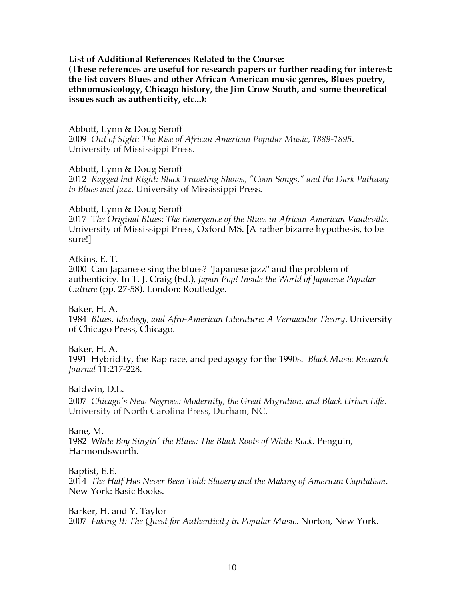#### **List of Additional References Related to the Course:**

**(These references are useful for research papers or further reading for interest: the list covers Blues and other African American music genres, Blues poetry, ethnomusicology, Chicago history, the Jim Crow South, and some theoretical issues such as authenticity, etc...):**

#### Abbott, Lynn & Doug Seroff 2009 *Out of Sight: The Rise of African American Popular Music, 1889-1895*. University of Mississippi Press.

#### Abbott, Lynn & Doug Seroff

2012 *Ragged but Right: Black Traveling Shows, "Coon Songs," and the Dark Pathway to Blues and Jazz*. University of Mississippi Press.

#### Abbott, Lynn & Doug Seroff

2017 T*he Original Blues: The Emergence of the Blues in African American Vaudeville.*  University of Mississippi Press, Oxford MS. [A rather bizarre hypothesis, to be sure!]

#### Atkins, E. T.

2000 Can Japanese sing the blues? "Japanese jazz" and the problem of authenticity. In T. J. Craig (Ed.), *Japan Pop! Inside the World of Japanese Popular Culture* (pp. 27-58). London: Routledge.

Baker, H. A. 1984 *Blues, Ideology, and Afro-American Literature: A Vernacular Theory*. University of Chicago Press, Chicago.

# Baker, H. A. 1991 Hybridity, the Rap race, and pedagogy for the 1990s. *Black Music Research Journal* 11:217-228.

Baldwin, D.L. 2007 *Chicago's New Negroes: Modernity, the Great Migration, and Black Urban Life*. University of North Carolina Press, Durham, NC.

# Bane, M.

1982 *White Boy Singin' the Blues: The Black Roots of White Rock*. Penguin, Harmondsworth.

Baptist, E.E. 2014 *The Half Has Never Been Told: Slavery and the Making of American Capitalism*. New York: Basic Books.

Barker, H. and Y. Taylor 2007 *Faking It: The Quest for Authenticity in Popular Music*. Norton, New York.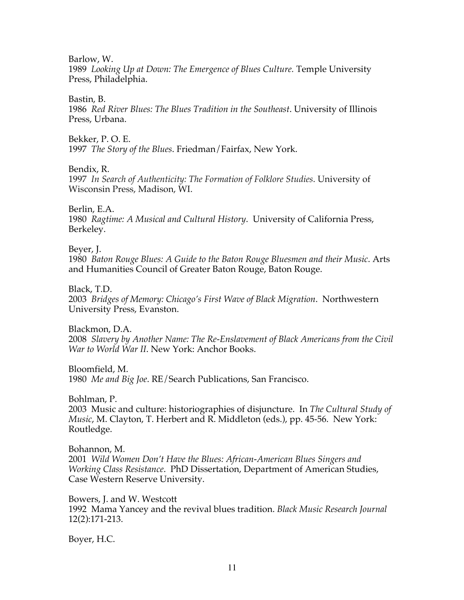Barlow, W.

1989 *Looking Up at Down: The Emergence of Blues Culture.* Temple University Press, Philadelphia.

#### Bastin, B.

1986 *Red River Blues: The Blues Tradition in the Southeast*. University of Illinois Press, Urbana.

Bekker, P. O. E.

1997 *The Story of the Blues*. Friedman/Fairfax, New York.

Bendix, R.

1997 *In Search of Authenticity: The Formation of Folklore Studies*. University of Wisconsin Press, Madison, WI.

Berlin, E.A.

1980 *Ragtime: A Musical and Cultural History*. University of California Press, Berkeley.

Beyer, J.

1980 *Baton Rouge Blues: A Guide to the Baton Rouge Bluesmen and their Music*. Arts and Humanities Council of Greater Baton Rouge, Baton Rouge.

Black, T.D.

2003 *Bridges of Memory: Chicago's First Wave of Black Migration*. Northwestern University Press, Evanston.

Blackmon, D.A.

2008 *Slavery by Another Name: The Re-Enslavement of Black Americans from the Civil War to World War II*. New York: Anchor Books.

Bloomfield, M.

1980 *Me and Big Joe*. RE/Search Publications, San Francisco.

Bohlman, P.

2003 Music and culture: historiographies of disjuncture. In *The Cultural Study of Music*, M. Clayton, T. Herbert and R. Middleton (eds.), pp. 45-56. New York: Routledge.

Bohannon, M. 2001 *Wild Women Don't Have the Blues: African-American Blues Singers and Working Class Resistance*. PhD Dissertation, Department of American Studies, Case Western Reserve University.

Bowers, J. and W. Westcott 1992 Mama Yancey and the revival blues tradition. *Black Music Research Journal* 12(2):171-213.

Boyer, H.C.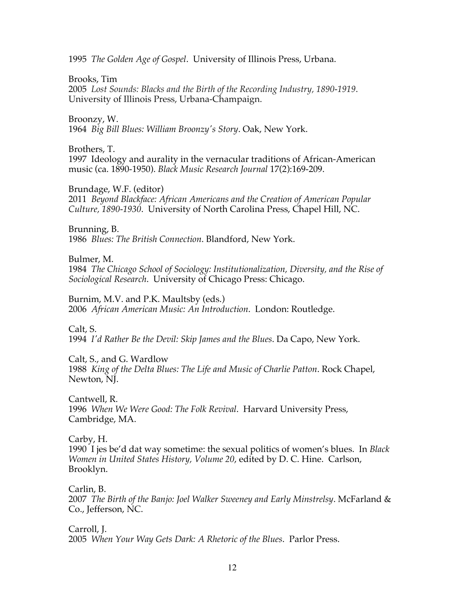1995 *The Golden Age of Gospel*. University of Illinois Press, Urbana.

### Brooks, Tim

2005 *Lost Sounds: Blacks and the Birth of the Recording Industry, 1890-1919*. University of Illinois Press, Urbana-Champaign.

# Broonzy, W.

1964 *Big Bill Blues: William Broonzy's Story*. Oak, New York.

# Brothers, T.

1997 Ideology and aurality in the vernacular traditions of African-American music (ca. 1890-1950). *Black Music Research Journal* 17(2):169-209.

# Brundage, W.F. (editor)

2011 *Beyond Blackface: African Americans and the Creation of American Popular Culture, 1890-1930*. University of North Carolina Press, Chapel Hill, NC.

# Brunning, B.

1986 *Blues: The British Connection*. Blandford, New York.

# Bulmer, M.

1984 *The Chicago School of Sociology: Institutionalization, Diversity, and the Rise of Sociological Research*. University of Chicago Press: Chicago.

# Burnim, M.V. and P.K. Maultsby (eds.)

2006 *African American Music: An Introduction*. London: Routledge.

# Calt, S.

1994 *I'd Rather Be the Devil: Skip James and the Blues*. Da Capo, New York.

Calt, S., and G. Wardlow 1988 *King of the Delta Blues: The Life and Music of Charlie Patton*. Rock Chapel, Newton, NJ.

# Cantwell, R. 1996 *When We Were Good: The Folk Revival*. Harvard University Press, Cambridge, MA.

# Carby, H.

1990 I jes be'd dat way sometime: the sexual politics of women's blues. In *Black Women in United States History, Volume 20*, edited by D. C. Hine. Carlson, Brooklyn.

#### Carlin, B.

2007 *The Birth of the Banjo: Joel Walker Sweeney and Early Minstrelsy*. McFarland & Co., Jefferson, NC.

Carroll, J. 2005 *When Your Way Gets Dark: A Rhetoric of the Blues*. Parlor Press.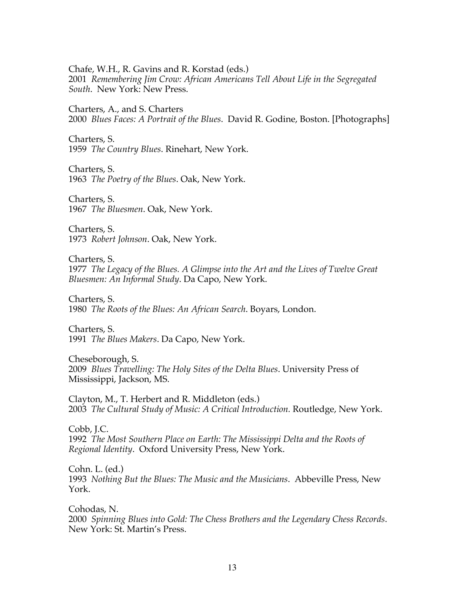Chafe, W.H., R. Gavins and R. Korstad (eds.)

2001 *Remembering Jim Crow: African Americans Tell About Life in the Segregated South*. New York: New Press.

Charters, A., and S. Charters

2000 *Blues Faces: A Portrait of the Blues*. David R. Godine, Boston. [Photographs]

Charters, S.

1959 *The Country Blues*. Rinehart, New York.

Charters, S.

1963 *The Poetry of the Blues*. Oak, New York.

Charters, S. 1967 *The Bluesmen*. Oak, New York.

Charters, S. 1973 *Robert Johnson*. Oak, New York.

Charters, S.

1977 *The Legacy of the Blues. A Glimpse into the Art and the Lives of Twelve Great Bluesmen: An Informal Study*. Da Capo, New York.

Charters, S. 1980 *The Roots of the Blues: An African Search*. Boyars, London.

Charters, S. 1991 *The Blues Makers*. Da Capo, New York.

Cheseborough, S. 2009 *Blues Travelling: The Holy Sites of the Delta Blues*. University Press of Mississippi, Jackson, MS.

Clayton, M., T. Herbert and R. Middleton (eds.) 2003 *The Cultural Study of Music: A Critical Introduction.* Routledge, New York.

Cobb, J.C. 1992 *The Most Southern Place on Earth: The Mississippi Delta and the Roots of Regional Identity*. Oxford University Press, New York.

Cohn. L. (ed.) 1993 *Nothing But the Blues: The Music and the Musicians*. Abbeville Press, New York.

Cohodas, N. 2000 *Spinning Blues into Gold: The Chess Brothers and the Legendary Chess Records*. New York: St. Martin's Press.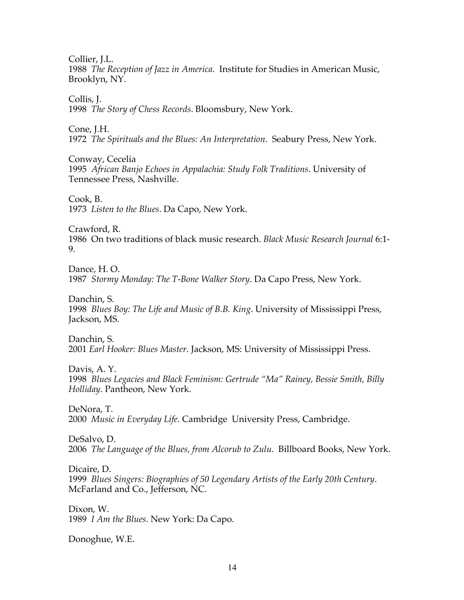Collier, *I.L.* 

1988 *The Reception of Jazz in America*. Institute for Studies in American Music, Brooklyn, NY.

Collis, J.

1998 *The Story of Chess Records*. Bloomsbury, New York.

Cone, J.H.

1972 *The Spirituals and the Blues: An Interpretation*. Seabury Press, New York.

Conway, Cecelia

1995 *African Banjo Echoes in Appalachia: Study Folk Traditions*. University of Tennessee Press, Nashville.

Cook, B. 1973 *Listen to the Blues*. Da Capo, New York.

Crawford, R. 1986 On two traditions of black music research. *Black Music Research Journal* 6:1- 9.

Dance, H. O. 1987 *Stormy Monday: The T-Bone Walker Story*. Da Capo Press, New York.

Danchin, S. 1998 *Blues Boy: The Life and Music of B.B. King*. University of Mississippi Press, Jackson, MS.

Danchin, S. 2001 *Earl Hooker: Blues Master*. Jackson, MS: University of Mississippi Press.

Davis, A. Y. 1998 *Blues Legacies and Black Feminism: Gertrude "Ma" Rainey, Bessie Smith, Billy Holliday*. Pantheon, New York.

DeNora, T. 2000 *Music in Everyday Life*. Cambridge University Press, Cambridge.

DeSalvo, D. 2006 *The Language of the Blues, from Alcorub to Zulu*. Billboard Books, New York.

Dicaire, D. 1999 *Blues Singers: Biographies of 50 Legendary Artists of the Early 20th Century*. McFarland and Co., Jefferson, NC.

Dixon, W. 1989 *I Am the Blues*. New York: Da Capo.

Donoghue, W.E.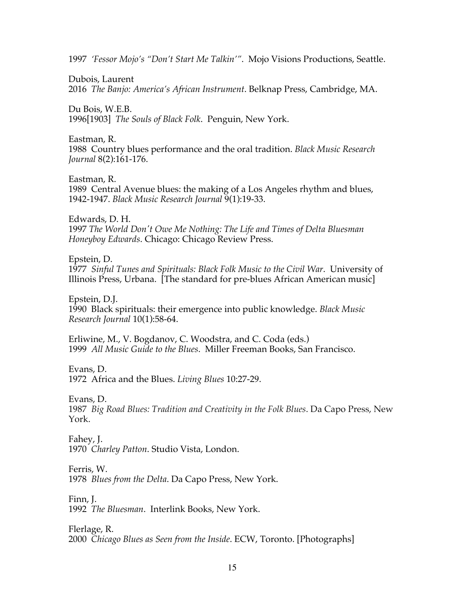1997 *'Fessor Mojo's "Don't Start Me Talkin'"*. Mojo Visions Productions, Seattle.

Dubois, Laurent

2016 *The Banjo: America's African Instrument*. Belknap Press, Cambridge, MA.

Du Bois, W.E.B.

1996[1903] *The Souls of Black Folk*. Penguin, New York.

Eastman, R.

1988 Country blues performance and the oral tradition. *Black Music Research Journal* 8(2):161-176.

Eastman, R.

1989 Central Avenue blues: the making of a Los Angeles rhythm and blues, 1942-1947. *Black Music Research Journal* 9(1):19-33.

Edwards, D. H. 1997 *The World Don't Owe Me Nothing: The Life and Times of Delta Bluesman Honeyboy Edwards*. Chicago: Chicago Review Press.

Epstein, D. 1977 *Sinful Tunes and Spirituals: Black Folk Music to the Civil War*. University of Illinois Press, Urbana. [The standard for pre-blues African American music]

Epstein, D.J. 1990 Black spirituals: their emergence into public knowledge. *Black Music Research Journal* 10(1):58-64.

Erliwine, M., V. Bogdanov, C. Woodstra, and C. Coda (eds.) 1999 *All Music Guide to the Blues*. Miller Freeman Books, San Francisco.

Evans, D. 1972 Africa and the Blues. *Living Blues* 10:27-29.

Evans, D.

1987 *Big Road Blues: Tradition and Creativity in the Folk Blues*. Da Capo Press, New York.

Fahey, J. 1970 *Charley Patton*. Studio Vista, London.

Ferris, W.

1978 *Blues from the Delta*. Da Capo Press, New York.

Finn, J. 1992 *The Bluesman*. Interlink Books, New York.

Flerlage, R. 2000 *Chicago Blues as Seen from the Inside*. ECW, Toronto. [Photographs]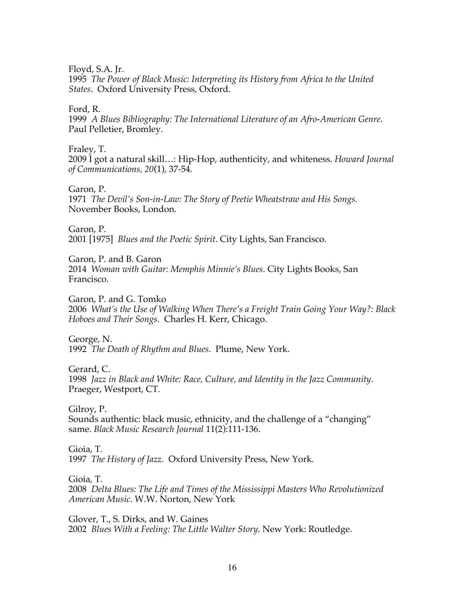Floyd, S.A. Jr.

1995 *The Power of Black Music: Interpreting its History from Africa to the United States*. Oxford University Press, Oxford.

Ford, R.

1999 *A Blues Bibliography: The International Literature of an Afro-American Genre*. Paul Pelletier, Bromley.

Fraley, T.

2009 I got a natural skill…: Hip-Hop, authenticity, and whiteness. *Howard Journal of Communications, 20*(1), 37-54.

Garon, P. 1971 *The Devil's Son-in-Law: The Story of Peetie Wheatstraw and His Songs*. November Books, London.

Garon, P.

2001 [1975] *Blues and the Poetic Spirit*. City Lights, San Francisco.

Garon, P. and B. Garon 2014 *Woman with Guitar: Memphis Minnie's Blues*. City Lights Books, San Francisco.

Garon, P. and G. Tomko 2006 *What's the Use of Walking When There's a Freight Train Going Your Way?: Black Hoboes and Their Songs*. Charles H. Kerr, Chicago.

George, N. 1992 *The Death of Rhythm and Blues*. Plume, New York.

Gerard, C. 1998 *Jazz in Black and White: Race, Culture, and Identity in the Jazz Community*. Praeger, Westport, CT.

Gilroy, P. Sounds authentic: black music, ethnicity, and the challenge of a "changing" same. *Black Music Research Journal* 11(2):111-136.

Gioia, T.

1997 *The History of Jazz*. Oxford University Press, New York.

Gioia, T.

2008 *Delta Blues: The Life and Times of the Mississippi Masters Who Revolutionized American Music*. W.W. Norton, New York

Glover, T., S. Dirks, and W. Gaines 2002 *Blues With a Feeling: The Little Walter Story*. New York: Routledge.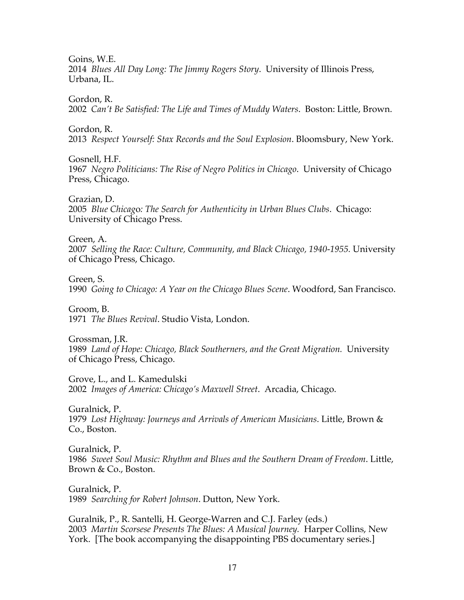Goins, W.E.

2014 *Blues All Day Long: The Jimmy Rogers Story*. University of Illinois Press, Urbana, IL.

Gordon, R.

2002 *Can't Be Satisfied: The Life and Times of Muddy Waters*. Boston: Little, Brown.

Gordon, R.

2013 *Respect Yourself: Stax Records and the Soul Explosion*. Bloomsbury, New York.

Gosnell, H.F.

1967 *Negro Politicians: The Rise of Negro Politics in Chicago*. University of Chicago Press, Chicago.

Grazian, D.

2005 *Blue Chicag*o*: The Search for Authenticity in Urban Blues Clubs*. Chicago: University of Chicago Press.

Green, A.

2007 *Selling the Race: Culture, Community, and Black Chicago, 1940-1955.* University of Chicago Press, Chicago.

Green, S.

1990 *Going to Chicago: A Year on the Chicago Blues Scene*. Woodford, San Francisco.

Groom, B. 1971 *The Blues Revival*. Studio Vista, London.

Grossman, J.R. 1989 *Land of Hope: Chicago, Black Southerners, and the Great Migration.* University of Chicago Press, Chicago.

Grove, L., and L. Kamedulski 2002 *Images of America: Chicago's Maxwell Street*. Arcadia, Chicago.

Guralnick, P. 1979 *Lost Highway: Journeys and Arrivals of American Musicians*. Little, Brown & Co., Boston.

Guralnick, P. 1986 *Sweet Soul Music: Rhythm and Blues and the Southern Dream of Freedom*. Little, Brown & Co., Boston.

Guralnick, P. 1989 *Searching for Robert Johnson*. Dutton, New York.

Guralnik, P., R. Santelli, H. George-Warren and C.J. Farley (eds.) 2003 *Martin Scorsese Presents The Blues: A Musical Journey.* Harper Collins, New York. [The book accompanying the disappointing PBS documentary series.]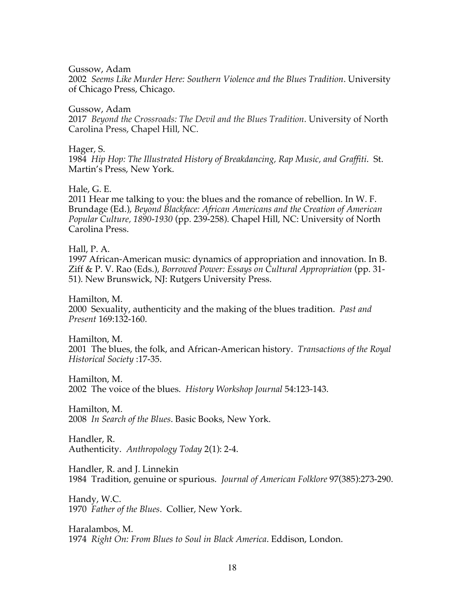Gussow, Adam

2002 *Seems Like Murder Here: Southern Violence and the Blues Tradition*. University of Chicago Press, Chicago.

Gussow, Adam

2017 *Beyond the Crossroads: The Devil and the Blues Tradition*. University of North Carolina Press, Chapel Hill, NC.

Hager, S.

1984 *Hip Hop: The Illustrated History of Breakdancing, Rap Music, and Graffiti*. St. Martin's Press, New York.

Hale, G. E.

2011 Hear me talking to you: the blues and the romance of rebellion. In W. F. Brundage (Ed.), *Beyond Blackface: African Americans and the Creation of American Popular Culture, 1890-1930* (pp. 239-258). Chapel Hill, NC: University of North Carolina Press.

Hall, P. A.

1997 African-American music: dynamics of appropriation and innovation. In B. Ziff & P. V. Rao (Eds.), *Borrowed Power: Essays on Cultural Appropriation* (pp. 31- 51). New Brunswick, NJ: Rutgers University Press.

Hamilton, M. 2000 Sexuality, authenticity and the making of the blues tradition. *Past and Present* 169:132-160.

Hamilton, M. 2001 The blues, the folk, and African-American history. *Transactions of the Royal Historical Society* :17-35.

Hamilton, M.

2002 The voice of the blues. *History Workshop Journal* 54:123-143.

Hamilton, M. 2008 *In Search of the Blues*. Basic Books, New York.

Handler, R. Authenticity. *Anthropology Today* 2(1): 2-4.

Handler, R. and J. Linnekin 1984 Tradition, genuine or spurious. *Journal of American Folklore* 97(385):273-290.

Handy, W.C. 1970 *Father of the Blues*. Collier, New York.

Haralambos, M. 1974 *Right On: From Blues to Soul in Black America*. Eddison, London.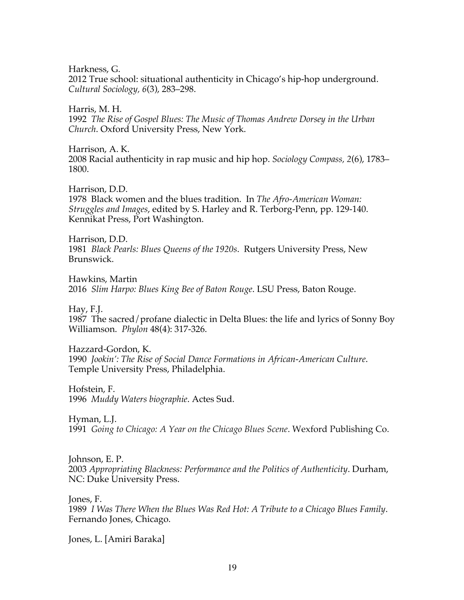Harkness, G. 2012 True school: situational authenticity in Chicago's hip-hop underground. *Cultural Sociology, 6*(3), 283–298.

Harris, M. H. 1992 *The Rise of Gospel Blues: The Music of Thomas Andrew Dorsey in the Urban Church*. Oxford University Press, New York.

Harrison, A. K. 2008 Racial authenticity in rap music and hip hop. *Sociology Compass, 2*(6), 1783– 1800.

Harrison, D.D. 1978 Black women and the blues tradition. In *The Afro-American Woman: Struggles and Images*, edited by S. Harley and R. Terborg-Penn, pp. 129-140. Kennikat Press, Port Washington.

Harrison, D.D. 1981 *Black Pearls: Blues Queens of the 1920s*. Rutgers University Press, New Brunswick.

Hawkins, Martin 2016 *Slim Harpo: Blues King Bee of Baton Rouge*. LSU Press, Baton Rouge.

Hay, F.J. 1987 The sacred/profane dialectic in Delta Blues: the life and lyrics of Sonny Boy Williamson. *Phylon* 48(4): 317-326.

Hazzard-Gordon, K. 1990 *Jookin': The Rise of Social Dance Formations in African-American Culture*. Temple University Press, Philadelphia.

Hofstein, F. 1996 *Muddy Waters biographie*. Actes Sud.

Hyman, L.J. 1991 *Going to Chicago: A Year on the Chicago Blues Scene*. Wexford Publishing Co.

Johnson, E. P. 2003 *Appropriating Blackness: Performance and the Politics of Authenticity*. Durham, NC: Duke University Press.

Jones, F. 1989 *I Was There When the Blues Was Red Hot: A Tribute to a Chicago Blues Family*. Fernando Jones, Chicago.

Jones, L. [Amiri Baraka]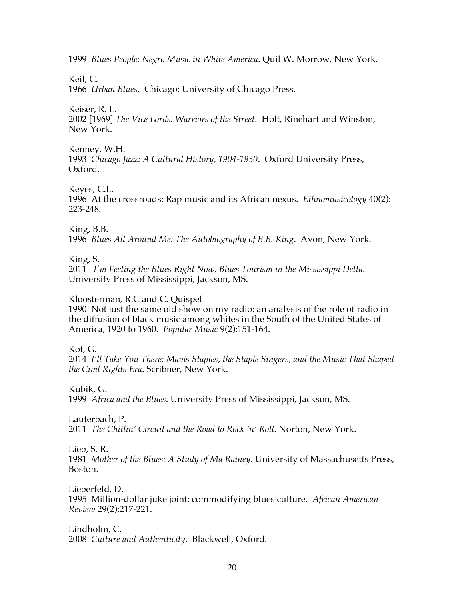1999 *Blues People: Negro Music in White America*. Quil W. Morrow, New York.

Keil, C.

1966 *Urban Blues*. Chicago: University of Chicago Press.

Keiser, R. L.

2002 [1969] *The Vice Lords: Warriors of the Street*. Holt, Rinehart and Winston, New York.

Kenney, W.H. 1993 *Chicago Jazz: A Cultural History, 1904-1930*. Oxford University Press, Oxford.

Keyes, C.L.

1996 At the crossroads: Rap music and its African nexus. *Ethnomusicology* 40(2): 223-248.

King, B.B.

1996 *Blues All Around Me: The Autobiography of B.B. King*. Avon, New York.

King, S.

2011 *I'm Feeling the Blues Right Now: Blues Tourism in the Mississippi Delta*. University Press of Mississippi, Jackson, MS.

Kloosterman, R.C and C. Quispel

1990 Not just the same old show on my radio: an analysis of the role of radio in the diffusion of black music among whites in the South of the United States of America, 1920 to 1960. *Popular Music* 9(2):151-164.

Kot, G.

2014 *I'll Take You There: Mavis Staples, the Staple Singers, and the Music That Shaped the Civil Rights Era*. Scribner, New York.

Kubik, G.

1999 *Africa and the Blues*. University Press of Mississippi, Jackson, MS.

Lauterbach, P.

2011 *The Chitlin' Circuit and the Road to Rock 'n' Roll*. Norton, New York.

Lieb, S. R.

1981 *Mother of the Blues: A Study of Ma Rainey*. University of Massachusetts Press, Boston.

Lieberfeld, D. 1995 Million-dollar juke joint: commodifying blues culture. *African American Review* 29(2):217-221.

Lindholm, C. 2008 *Culture and Authenticity*. Blackwell, Oxford.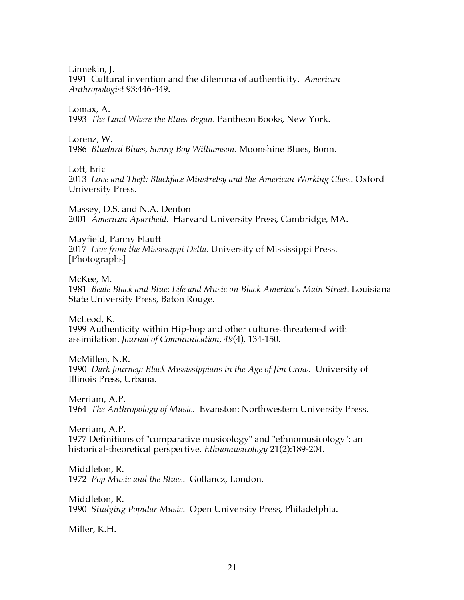Linnekin, J.

1991 Cultural invention and the dilemma of authenticity. *American Anthropologist* 93:446-449.

Lomax, A. 1993 *The Land Where the Blues Began*. Pantheon Books, New York.

Lorenz, W.

1986 *Bluebird Blues, Sonny Boy Williamson*. Moonshine Blues, Bonn.

Lott, Eric

2013 *Love and Theft: Blackface Minstrelsy and the American Working Class*. Oxford University Press.

Massey, D.S. and N.A. Denton 2001 *American Apartheid*. Harvard University Press, Cambridge, MA.

Mayfield, Panny Flautt 2017 *Live from the Mississippi Delta*. University of Mississippi Press. [Photographs]

McKee, M. 1981 *Beale Black and Blue: Life and Music on Black America's Main Street*. Louisiana State University Press, Baton Rouge.

McLeod, K. 1999 Authenticity within Hip-hop and other cultures threatened with assimilation. *Journal of Communication, 49*(4), 134-150.

McMillen, N.R. 1990 *Dark Journey: Black Mississippians in the Age of Jim Crow*. University of Illinois Press, Urbana.

Merriam, A.P. 1964 *The Anthropology of Music*. Evanston: Northwestern University Press.

Merriam, A.P. 1977 Definitions of "comparative musicology" and "ethnomusicology": an historical-theoretical perspective. *Ethnomusicology* 21(2):189-204.

Middleton, R. 1972 *Pop Music and the Blues*. Gollancz, London.

Middleton, R. 1990 *Studying Popular Music*. Open University Press, Philadelphia.

Miller, K.H.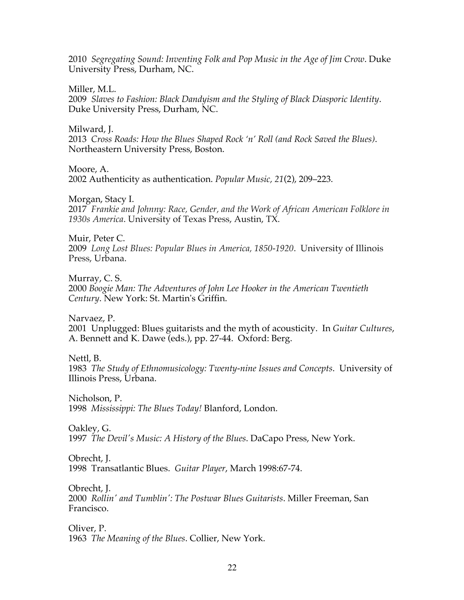2010 *Segregating Sound: Inventing Folk and Pop Music in the Age of Jim Crow*. Duke University Press, Durham, NC.

Miller, M.L.

2009 *Slaves to Fashion: Black Dandyism and the Styling of Black Diasporic Identity*. Duke University Press, Durham, NC.

Milward, J.

2013 *Cross Roads: How the Blues Shaped Rock 'n' Roll (and Rock Saved the Blues)*. Northeastern University Press, Boston.

Moore, A.

2002 Authenticity as authentication. *Popular Music, 21*(2), 209–223.

Morgan, Stacy I.

2017*Frankie and Johnny: Race, Gender, and the Work of African American Folklore in 1930s America*. University of Texas Press, Austin, TX.

Muir, Peter C. 2009 *Long Lost Blues: Popular Blues in America, 1850-1920*. University of Illinois Press, Urbana.

Murray, C. S. 2000 *Boogie Man: The Adventures of John Lee Hooker in the American Twentieth Century*. New York: St. Martin's Griffin.

Narvaez, P. 2001 Unplugged: Blues guitarists and the myth of acousticity. In *Guitar Cultures*, A. Bennett and K. Dawe (eds.), pp. 27-44. Oxford: Berg.

Nettl, B.

1983 *The Study of Ethnomusicology: Twenty-nine Issues and Concepts*. University of Illinois Press, Urbana.

Nicholson, P. 1998 *Mississippi: The Blues Today!* Blanford, London.

Oakley, G. 1997 *The Devil's Music: A History of the Blues*. DaCapo Press, New York.

Obrecht, J.

1998 Transatlantic Blues. *Guitar Player*, March 1998:67-74.

Obrecht, J. 2000 *Rollin' and Tumblin': The Postwar Blues Guitarists*. Miller Freeman, San Francisco.

Oliver, P. 1963 *The Meaning of the Blues*. Collier, New York.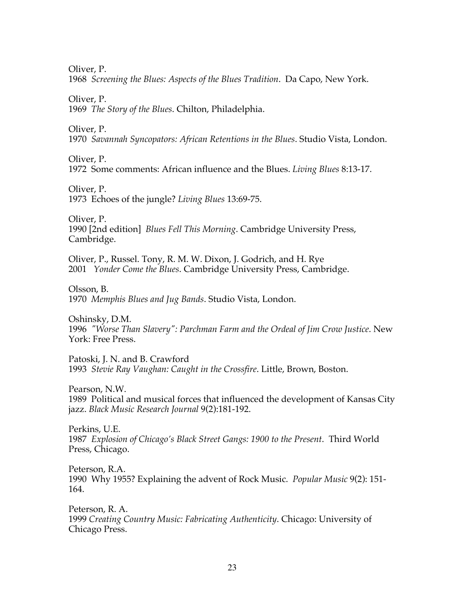Oliver, P.

1968 *Screening the Blues: Aspects of the Blues Tradition*. Da Capo, New York.

Oliver, P.

1969 *The Story of the Blues*. Chilton, Philadelphia.

Oliver, P.

1970 *Savannah Syncopators: African Retentions in the Blues*. Studio Vista, London.

Oliver, P.

1972 Some comments: African influence and the Blues. *Living Blues* 8:13-17.

Oliver, P.

1973 Echoes of the jungle? *Living Blues* 13:69-75.

Oliver, P. 1990 [2nd edition] *Blues Fell This Morning*. Cambridge University Press, Cambridge.

Oliver, P., Russel. Tony, R. M. W. Dixon, J. Godrich, and H. Rye 2001 *Yonder Come the Blues*. Cambridge University Press, Cambridge.

Olsson, B. 1970 *Memphis Blues and Jug Bands*. Studio Vista, London.

Oshinsky, D.M. 1996 *"Worse Than Slavery": Parchman Farm and the Ordeal of Jim Crow Justice*. New York: Free Press.

Patoski, J. N. and B. Crawford 1993 *Stevie Ray Vaughan: Caught in the Crossfire*. Little, Brown, Boston.

Pearson, N.W. 1989 Political and musical forces that influenced the development of Kansas City jazz. *Black Music Research Journal* 9(2):181-192.

Perkins, U.E. 1987 *Explosion of Chicago's Black Street Gangs: 1900 to the Present*. Third World Press, Chicago.

Peterson, R.A. 1990 Why 1955? Explaining the advent of Rock Music. *Popular Music* 9(2): 151- 164.

Peterson, R. A. 1999 *Creating Country Music: Fabricating Authenticity*. Chicago: University of Chicago Press.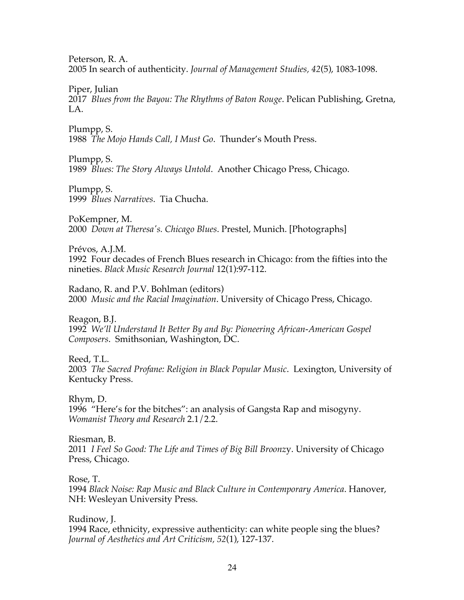Peterson, R. A.

2005 In search of authenticity. *Journal of Management Studies, 42*(5), 1083-1098.

Piper, Julian

2017 *Blues from the Bayou: The Rhythms of Baton Rouge*. Pelican Publishing, Gretna, LA.

Plumpp, S. 1988 *The Mojo Hands Call, I Must Go*. Thunder's Mouth Press.

Plumpp, S. 1989 *Blues: The Story Always Untold*. Another Chicago Press, Chicago.

Plumpp, S. 1999 *Blues Narratives*. Tia Chucha.

PoKempner, M. 2000 *Down at Theresa's. Chicago Blues*. Prestel, Munich. [Photographs]

Prévos, A.J.M. 1992 Four decades of French Blues research in Chicago: from the fifties into the nineties. *Black Music Research Journal* 12(1):97-112.

Radano, R. and P.V. Bohlman (editors) 2000 *Music and the Racial Imagination*. University of Chicago Press, Chicago.

Reagon, B.J. 1992 *We'll Understand It Better By and By: Pioneering African-American Gospel Composers*. Smithsonian, Washington, DC.

Reed, T.L. 2003 *The Sacred Profane: Religion in Black Popular Music*. Lexington, University of Kentucky Press.

Rhym, D. 1996 "Here's for the bitches": an analysis of Gangsta Rap and misogyny. *Womanist Theory and Research* 2.1/2.2.

Riesman, B. 2011 *I Feel So Good: The Life and Times of Big Bill Broonz*y. University of Chicago Press, Chicago.

Rose, T.

1994 *Black Noise: Rap Music and Black Culture in Contemporary America*. Hanover, NH: Wesleyan University Press.

Rudinow, J. 1994 Race, ethnicity, expressive authenticity: can white people sing the blues? *Journal of Aesthetics and Art Criticism, 52*(1), 127-137.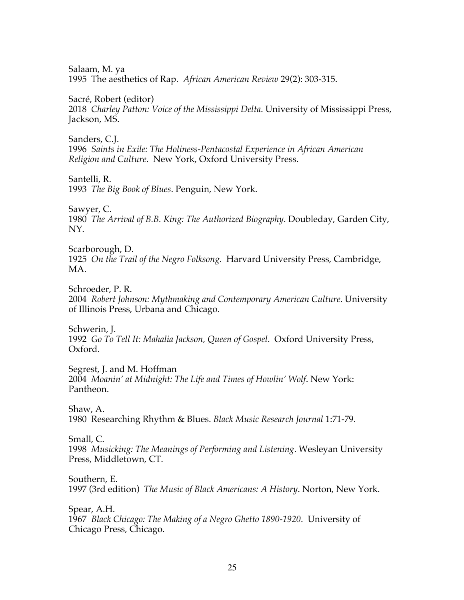Salaam, M. ya 1995 The aesthetics of Rap. *African American Review* 29(2): 303-315.

Sacré, Robert (editor) 2018 *Charley Patton: Voice of the Mississippi Delta*. University of Mississippi Press, Jackson, MS.

Sanders, C.J. 1996 *Saints in Exile: The Holiness-Pentacostal Experience in African American Religion and Culture*. New York, Oxford University Press.

Santelli, R.

1993 *The Big Book of Blues*. Penguin, New York.

Sawyer, C.

1980 *The Arrival of B.B. King: The Authorized Biography*. Doubleday, Garden City, NY.

Scarborough, D. 1925 *On the Trail of the Negro Folksong*. Harvard University Press, Cambridge, MA.

Schroeder, P. R. 2004 *Robert Johnson: Mythmaking and Contemporary American Culture*. University of Illinois Press, Urbana and Chicago.

Schwerin, J. 1992 *Go To Tell It: Mahalia Jackson, Queen of Gospel*. Oxford University Press, Oxford.

Segrest, J. and M. Hoffman 2004 *Moanin' at Midnight: The Life and Times of Howlin' Wolf*. New York: Pantheon.

Shaw, A. 1980 Researching Rhythm & Blues. *Black Music Research Journal* 1:71-79.

Small, C. 1998 *Musicking: The Meanings of Performing and Listening*. Wesleyan University Press, Middletown, CT.

Southern, E. 1997 (3rd edition) *The Music of Black Americans: A History*. Norton, New York.

Spear, A.H. 1967 *Black Chicago: The Making of a Negro Ghetto 1890-1920*. University of Chicago Press, Chicago.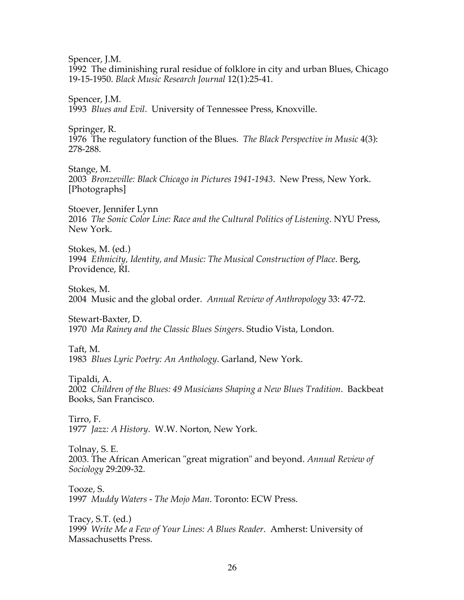Spencer, J.M.

1992 The diminishing rural residue of folklore in city and urban Blues, Chicago 19-15-1950. *Black Music Research Journal* 12(1):25-41.

Spencer, J.M. 1993 *Blues and Evil*. University of Tennessee Press, Knoxville.

Springer, R. 1976 The regulatory function of the Blues. *The Black Perspective in Music* 4(3): 278-288.

Stange, M. 2003 *Bronzeville: Black Chicago in Pictures 1941-1943*. New Press, New York. [Photographs]

Stoever, Jennifer Lynn 2016 *The Sonic Color Line: Race and the Cultural Politics of Listening*. NYU Press, New York.

Stokes, M. (ed.) 1994 *Ethnicity, Identity, and Music: The Musical Construction of Place*. Berg, Providence, RI.

Stokes, M. 2004 Music and the global order. *Annual Review of Anthropology* 33: 47-72.

Stewart-Baxter, D. 1970 *Ma Rainey and the Classic Blues Singers*. Studio Vista, London.

Taft, M. 1983 *Blues Lyric Poetry: An Anthology*. Garland, New York.

Tipaldi, A.

2002 *Children of the Blues: 49 Musicians Shaping a New Blues Tradition*. Backbeat Books, San Francisco.

Tirro, F. 1977 *Jazz: A History*. W.W. Norton, New York.

Tolnay, S. E. 2003. The African American "great migration" and beyond. *Annual Review of Sociology* 29:209-32.

Tooze, S. 1997 *Muddy Waters - The Mojo Man*. Toronto: ECW Press.

Tracy, S.T. (ed.) 1999 *Write Me a Few of Your Lines: A Blues Reader*. Amherst: University of Massachusetts Press.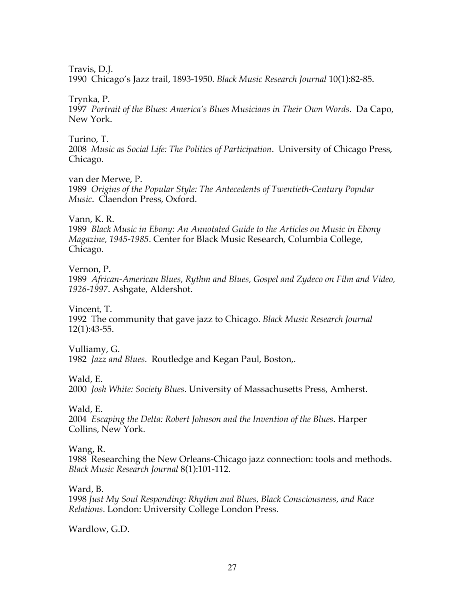Travis, D.J.

1990 Chicago's Jazz trail, 1893-1950. *Black Music Research Journal* 10(1):82-85.

# Trynka, P.

1997 *Portrait of the Blues: America's Blues Musicians in Their Own Words*. Da Capo, New York.

# Turino, T.

2008 *Music as Social Life: The Politics of Participation*. University of Chicago Press, Chicago.

# van der Merwe, P.

1989 *Origins of the Popular Style: The Antecedents of Twentieth-Century Popular Music*. Claendon Press, Oxford.

# Vann, K. R.

1989 *Black Music in Ebony: An Annotated Guide to the Articles on Music in Ebony Magazine, 1945-1985*. Center for Black Music Research, Columbia College, Chicago.

Vernon, P.

1989 *African-American Blues, Rythm and Blues, Gospel and Zydeco on Film and Video, 1926-1997*. Ashgate, Aldershot.

Vincent, T.

1992 The community that gave jazz to Chicago. *Black Music Research Journal* 12(1):43-55.

Vulliamy, G.

1982 *Jazz and Blues*. Routledge and Kegan Paul, Boston,.

Wald, E.

2000 *Josh White: Society Blues*. University of Massachusetts Press, Amherst.

Wald, E.

2004 *Escaping the Delta: Robert Johnson and the Invention of the Blues*. Harper Collins, New York.

# Wang, R.

1988 Researching the New Orleans-Chicago jazz connection: tools and methods. *Black Music Research Journal* 8(1):101-112.

Ward, B.

1998 *Just My Soul Responding: Rhythm and Blues, Black Consciousness, and Race Relations*. London: University College London Press.

Wardlow, G.D.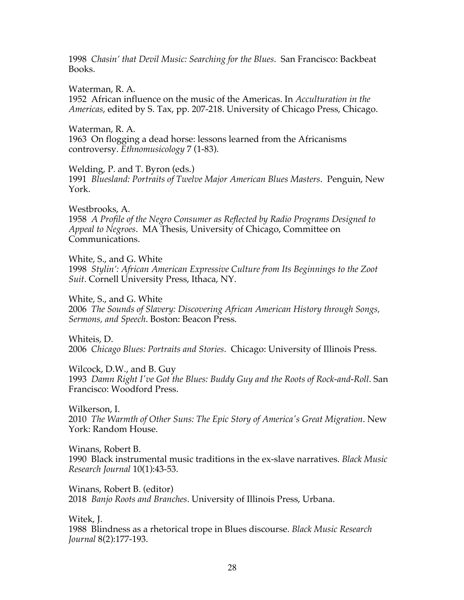1998 *Chasin' that Devil Music: Searching for the Blues*. San Francisco: Backbeat Books.

Waterman, R. A. 1952 African influence on the music of the Americas. In *Acculturation in the Americas*, edited by S. Tax, pp. 207-218. University of Chicago Press, Chicago.

Waterman, R. A. 1963 On flogging a dead horse: lessons learned from the Africanisms controversy. *Ethnomusicology* 7 (1-83).

Welding, P. and T. Byron (eds.) 1991 *Bluesland: Portraits of Twelve Major American Blues Masters*. Penguin, New York.

Westbrooks, A. 1958 *A Profile of the Negro Consumer as Reflected by Radio Programs Designed to Appeal to Negroes*. MA Thesis, University of Chicago, Committee on Communications.

White, S., and G. White 1998 *Stylin': African American Expressive Culture from Its Beginnings to the Zoot Suit*. Cornell University Press, Ithaca, NY.

White, S., and G. White 2006 *The Sounds of Slavery: Discovering African American History through Songs, Sermons, and Speech*. Boston: Beacon Press.

Whiteis, D. 2006 *Chicago Blues: Portraits and Stories*. Chicago: University of Illinois Press.

Wilcock, D.W., and B. Guy 1993 *Damn Right I've Got the Blues: Buddy Guy and the Roots of Rock-and-Roll*. San Francisco: Woodford Press.

Wilkerson, I. 2010 *The Warmth of Other Suns: The Epic Story of America's Great Migration*. New York: Random House.

Winans, Robert B. 1990 Black instrumental music traditions in the ex-slave narratives. *Black Music Research Journal* 10(1):43-53.

Winans, Robert B. (editor) 2018 *Banjo Roots and Branches*. University of Illinois Press, Urbana.

Witek, J. 1988 Blindness as a rhetorical trope in Blues discourse. *Black Music Research Journal* 8(2):177-193.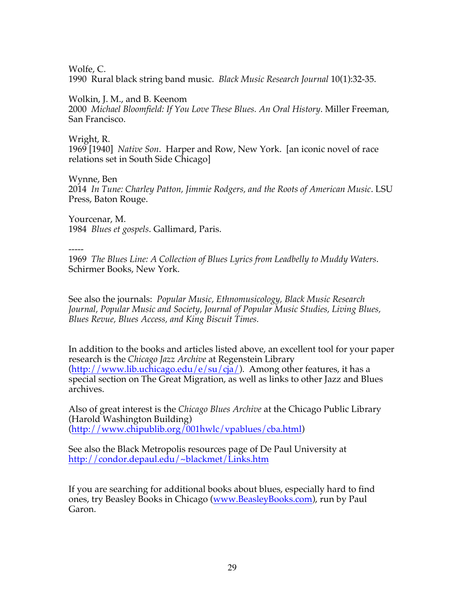Wolfe, C.

1990 Rural black string band music. *Black Music Research Journal* 10(1):32-35.

# Wolkin, J. M., and B. Keenom

2000 *Michael Bloomfield: If You Love These Blues. An Oral History*. Miller Freeman, San Francisco.

Wright, R.

1969 [1940] *Native Son*. Harper and Row, New York. [an iconic novel of race relations set in South Side Chicago]

Wynne, Ben

2014 *In Tune: Charley Patton, Jimmie Rodgers, and the Roots of American Music*. LSU Press, Baton Rouge.

Yourcenar, M. 1984 *Blues et gospels*. Gallimard, Paris.

-----

1969 *The Blues Line: A Collection of Blues Lyrics from Leadbelly to Muddy Waters*. Schirmer Books, New York.

See also the journals: *Popular Music, Ethnomusicology, Black Music Research Journal, Popular Music and Society, Journal of Popular Music Studies, Living Blues, Blues Revue, Blues Access, and King Biscuit Times.*

In addition to the books and articles listed above, an excellent tool for your paper research is the *Chicago Jazz Archive* at Regenstein Library  $(\text{http://www.lib.uchicago.edu/e/su/cja/}).$  Among other features, it has a special section on The Great Migration, as well as links to other Jazz and Blues archives.

Also of great interest is the *Chicago Blues Archive* at the Chicago Public Library (Harold Washington Building) (http://www.chipublib.org/001hwlc/vpablues/cba.html)

See also the Black Metropolis resources page of De Paul University at http://condor.depaul.edu/~blackmet/Links.htm

If you are searching for additional books about blues, especially hard to find ones, try Beasley Books in Chicago (www.BeasleyBooks.com), run by Paul Garon.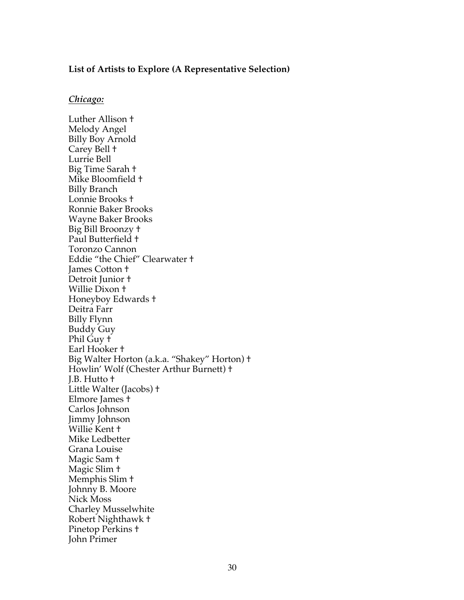#### **List of Artists to Explore (A Representative Selection)**

#### *Chicago:*

Luther Allison † Melody Angel Billy Boy Arnold Carey Bell † Lurrie Bell Big Time Sarah † Mike Bloomfield † Billy Branch Lonnie Brooks † Ronnie Baker Brooks Wayne Baker Brooks Big Bill Broonzy † Paul Butterfield † Toronzo Cannon Eddie "the Chief" Clearwater † James Cotton † Detroit Junior † Willie Dixon † Honeyboy Edwards † Deitra Farr Billy Flynn Buddy Guy Phil Guy † Earl Hooker † Big Walter Horton (a.k.a. "Shakey" Horton) † Howlin' Wolf (Chester Arthur Burnett) † J.B. Hutto † Little Walter (Jacobs) † Elmore James † Carlos Johnson Jimmy Johnson Willie Kent † Mike Ledbetter Grana Louise Magic Sam † Magic Slim † Memphis Slim † Johnny B. Moore Nick Moss Charley Musselwhite Robert Nighthawk † Pinetop Perkins + John Primer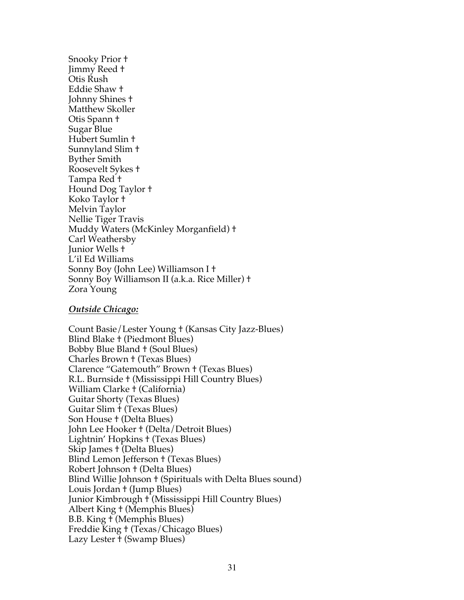Snooky Prior † Jimmy Reed † Otis Rush Eddie Shaw † Johnny Shines † Matthew Skoller Otis Spann † Sugar Blue Hubert Sumlin † Sunnyland Slim † Byther Smith Roosevelt Sykes † Tampa Red † Hound Dog Taylor † Koko Taylor † Melvin Taylor Nellie Tiger Travis Muddy Waters (McKinley Morganfield) † Carl Weathersby Junior Wells † L'il Ed Williams Sonny Boy (John Lee) Williamson I † Sonny Boy Williamson II (a.k.a. Rice Miller) † Zora Young

#### *Outside Chicago:*

Count Basie/Lester Young † (Kansas City Jazz-Blues) Blind Blake † (Piedmont Blues) Bobby Blue Bland † (Soul Blues) Charles Brown † (Texas Blues) Clarence "Gatemouth" Brown † (Texas Blues) R.L. Burnside † (Mississippi Hill Country Blues) William Clarke † (California) Guitar Shorty (Texas Blues) Guitar Slim † (Texas Blues) Son House † (Delta Blues) John Lee Hooker † (Delta/Detroit Blues) Lightnin' Hopkins † (Texas Blues) Skip James † (Delta Blues) Blind Lemon Jefferson † (Texas Blues) Robert Johnson † (Delta Blues) Blind Willie Johnson † (Spirituals with Delta Blues sound) Louis Jordan † (Jump Blues) Junior Kimbrough † (Mississippi Hill Country Blues) Albert King † (Memphis Blues) B.B. King † (Memphis Blues) Freddie King † (Texas/Chicago Blues) Lazy Lester † (Swamp Blues)